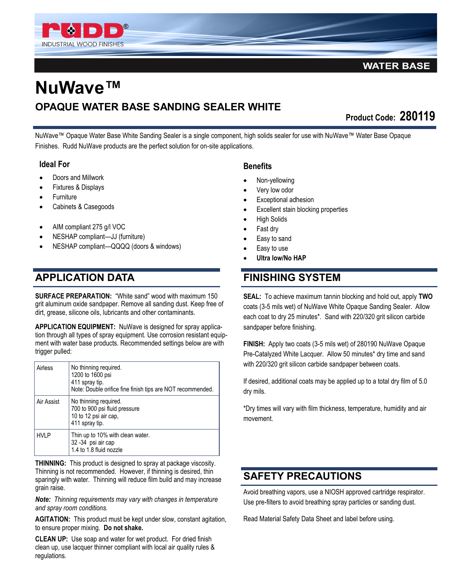

## **WATER BASE**

# **NuWave™ OPAQUE WATER BASE SANDING SEALER WHITE**

**Product Code: 280119** 

NuWave™ Opaque Water Base White Sanding Sealer is a single component, high solids sealer for use with NuWave™ Water Base Opaque Finishes. Rudd NuWave products are the perfect solution for on-site applications.

#### **Ideal For**

- Doors and Millwork
- Fixtures & Displays
- **Furniture**
- Cabinets & Casegoods
- AIM compliant 275 g/l VOC
- NESHAP compliant—JJ (furniture)
- NESHAP compliant—QQQQ (doors & windows)

# **APPLICATION DATA**

**SURFACE PREPARATION:** "White sand" wood with maximum 150 grit aluminum oxide sandpaper. Remove all sanding dust. Keep free of dirt, grease, silicone oils, lubricants and other contaminants.

**APPLICATION EQUIPMENT:** NuWave is designed for spray application through all types of spray equipment. Use corrosion resistant equipment with water base products. Recommended settings below are with trigger pulled:

| Airless     | No thinning required.<br>1200 to 1600 psi<br>411 spray tip.<br>Note: Double orifice fine finish tips are NOT recommended. |
|-------------|---------------------------------------------------------------------------------------------------------------------------|
| Air Assist  | No thinning required.<br>700 to 900 psi fluid pressure<br>10 to 12 psi air cap,<br>411 spray tip.                         |
| <b>HVLP</b> | Thin up to 10% with clean water.<br>32 - 34 psi air cap<br>1.4 to 1.8 fluid nozzle                                        |

**THINNING:** This product is designed to spray at package viscosity. Thinning is not recommended. However, if thinning is desired, thin sparingly with water. Thinning will reduce film build and may increase grain raise.

*Note: Thinning requirements may vary with changes in temperature and spray room conditions.*

**AGITATION:** This product must be kept under slow, constant agitation, to ensure proper mixing. **Do not shake.**

**CLEAN UP:** Use soap and water for wet product. For dried finish clean up, use lacquer thinner compliant with local air quality rules & regulations.

### **Benefits**

- Non-yellowing
- Very low odor
- Exceptional adhesion
- Excellent stain blocking properties
- High Solids
- Fast dry
- Easy to sand
- Easy to use
- **Ultra low/No HAP**

# **FINISHING SYSTEM**

**SEAL:** To achieve maximum tannin blocking and hold out, apply **TWO**  coats (3-5 mils wet) of NuWave White Opaque Sanding Sealer. Allow each coat to dry 25 minutes\*. Sand with 220/320 grit silicon carbide sandpaper before finishing.

**FINISH:** Apply two coats (3-5 mils wet) of 280190 NuWave Opaque Pre-Catalyzed White Lacquer. Allow 50 minutes\* dry time and sand with 220/320 grit silicon carbide sandpaper between coats.

If desired, additional coats may be applied up to a total dry film of 5.0 dry mils.

\*Dry times will vary with film thickness, temperature, humidity and air movement.

# **SAFETY PRECAUTIONS**

Avoid breathing vapors, use a NIOSH approved cartridge respirator. Use pre-filters to avoid breathing spray particles or sanding dust.

Read Material Safety Data Sheet and label before using.